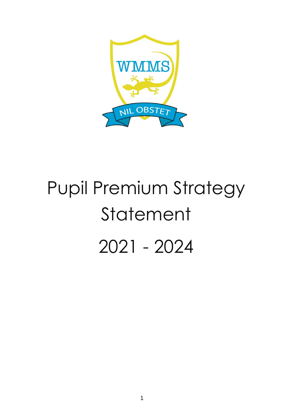

# Pupil Premium Strategy Statement 2021 - 2024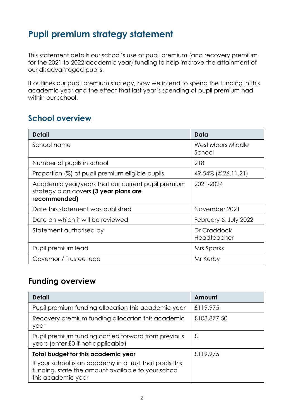# **Pupil premium strategy statement**

This statement details our school's use of pupil premium (and recovery premium for the 2021 to 2022 academic year) funding to help improve the attainment of our disadvantaged pupils.

It outlines our pupil premium strategy, how we intend to spend the funding in this academic year and the effect that last year's spending of pupil premium had within our school.

## **School overview**

| <b>Detail</b>                                                                                                | Data                        |
|--------------------------------------------------------------------------------------------------------------|-----------------------------|
| School name                                                                                                  | West Moors Middle<br>School |
| Number of pupils in school                                                                                   | 218                         |
| Proportion (%) of pupil premium eligible pupils                                                              | $49.54\%$ (@26.11.21)       |
| Academic year/years that our current pupil premium<br>strategy plan covers (3 year plans are<br>recommended) | 2021-2024                   |
| Date this statement was published                                                                            | November 2021               |
| Date on which it will be reviewed                                                                            | February & July 2022        |
| Statement authorised by                                                                                      | Dr Craddock<br>Headteacher  |
| Pupil premium lead                                                                                           | Mrs Sparks                  |
| Governor / Trustee lead                                                                                      | Mr Kerby                    |

#### **Funding overview**

| <b>Detail</b>                                                                                                                                                                     | Amount      |
|-----------------------------------------------------------------------------------------------------------------------------------------------------------------------------------|-------------|
| Pupil premium funding allocation this academic year                                                                                                                               | £119,975    |
| Recovery premium funding allocation this academic<br>year                                                                                                                         | £103,877.50 |
| Pupil premium funding carried forward from previous<br>years (enter £0 if not applicable)                                                                                         | £           |
| <b>Total budget for this academic year</b><br>If your school is an academy in a trust that pools this<br>funding, state the amount available to your school<br>this academic year | £119,975    |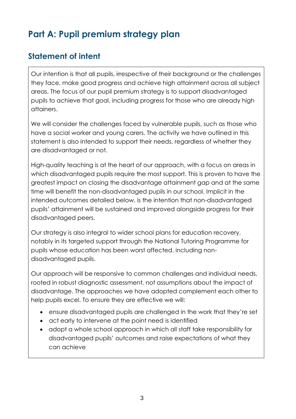# **Part A: Pupil premium strategy plan**

## **Statement of intent**

Our intention is that all pupils, irrespective of their background or the challenges they face, make good progress and achieve high attainment across all subject areas. The focus of our pupil premium strategy is to support disadvantaged pupils to achieve that goal, including progress for those who are already high attainers.

We will consider the challenges faced by vulnerable pupils, such as those who have a social worker and young carers. The activity we have outlined in this statement is also intended to support their needs, regardless of whether they are disadvantaged or not.

High-quality teaching is at the heart of our approach, with a focus on areas in which disadvantaged pupils require the most support. This is proven to have the greatest impact on closing the disadvantage attainment gap and at the same time will benefit the non-disadvantaged pupils in our school. Implicit in the intended outcomes detailed below, is the intention that non-disadvantaged pupils' attainment will be sustained and improved alongside progress for their disadvantaged peers.

Our strategy is also integral to wider school plans for education recovery, notably in its targeted support through the National Tutoring Programme for pupils whose education has been worst affected, including nondisadvantaged pupils.

Our approach will be responsive to common challenges and individual needs, rooted in robust diagnostic assessment, not assumptions about the impact of disadvantage. The approaches we have adopted complement each other to help pupils excel. To ensure they are effective we will:

- ensure disadvantaged pupils are challenged in the work that they're set
- act early to intervene at the point need is identified
- adopt a whole school approach in which all staff take responsibility for disadvantaged pupils' outcomes and raise expectations of what they can achieve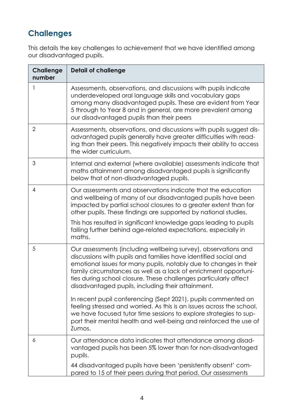# **Challenges**

This details the key challenges to achievement that we have identified among our disadvantaged pupils.

| <b>Challenge</b><br>number | <b>Detail of challenge</b>                                                                                                                                                                                                                                                                                                                                                                         |
|----------------------------|----------------------------------------------------------------------------------------------------------------------------------------------------------------------------------------------------------------------------------------------------------------------------------------------------------------------------------------------------------------------------------------------------|
|                            | Assessments, observations, and discussions with pupils indicate<br>underdeveloped oral language skills and vocabulary gaps<br>among many disadvantaged pupils. These are evident from Year<br>5 through to Year 8 and in general, are more prevalent among<br>our disadvantaged pupils than their peers                                                                                            |
| $\overline{2}$             | Assessments, observations, and discussions with pupils suggest dis-<br>advantaged pupils generally have greater difficulties with read-<br>ing than their peers. This negatively impacts their ability to access<br>the wider curriculum.                                                                                                                                                          |
| 3                          | Internal and external (where available) assessments indicate that<br>maths attainment among disadvantaged pupils is significantly<br>below that of non-disadvantaged pupils.                                                                                                                                                                                                                       |
| $\overline{4}$             | Our assessments and observations indicate that the education<br>and wellbeing of many of our disadvantaged pupils have been<br>impacted by partial school closures to a greater extent than for<br>other pupils. These findings are supported by national studies.                                                                                                                                 |
|                            | This has resulted in significant knowledge gaps leading to pupils<br>falling further behind age-related expectations, especially in<br>maths.                                                                                                                                                                                                                                                      |
| 5                          | Our assessments (including wellbeing survey), observations and<br>discussions with pupils and families have identified social and<br>emotional issues for many pupils, notably due to changes in their<br>family circumstances as well as a lack of enrichment opportuni-<br>ties during school closure. These challenges particularly affect<br>disadvantaged pupils, including their attainment. |
|                            | In recent pupil conferencing (Sept 2021), pupils commented on<br>feeling stressed and worried. As this is an issues across the school,<br>we have focused tutor time sessions to explore strategies to sup-<br>port their mental health and well-being and reinforced the use of<br>Zumos.                                                                                                         |
| 6                          | Our attendance data indicates that attendance among disad-<br>vantaged pupils has been 5% lower than for non-disadvantaged<br>pupils.                                                                                                                                                                                                                                                              |
|                            | 44 disadvantaged pupils have been 'persistently absent' com-<br>pared to 15 of their peers during that period. Our assessments                                                                                                                                                                                                                                                                     |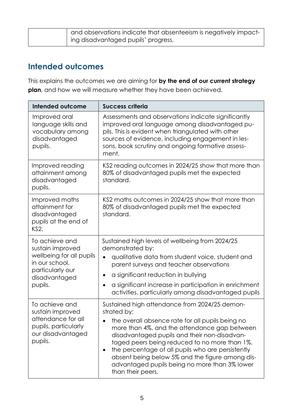| and observations indicate that absenteeism is negatively impact- |
|------------------------------------------------------------------|
| ing disadvantaged pupils' progress.                              |

## **Intended outcomes**

This explains the outcomes we are aiming for **by the end of our current strategy plan**, and how we will measure whether they have been achieved.

| Intended outcome                                                                                                                 | <b>Success criteria</b>                                                                                                                                                                                                                                                                                                                                                                                                                         |  |
|----------------------------------------------------------------------------------------------------------------------------------|-------------------------------------------------------------------------------------------------------------------------------------------------------------------------------------------------------------------------------------------------------------------------------------------------------------------------------------------------------------------------------------------------------------------------------------------------|--|
| Improved oral<br>language skills and<br>vocabulary among<br>disadvantaged<br>pupils.                                             | Assessments and observations indicate significantly<br>improved oral language among disadvantaged pu-<br>pils. This is evident when triangulated with other<br>sources of evidence, including engagement in les-<br>sons, book scrutiny and ongoing formative assess-<br>ment.                                                                                                                                                                  |  |
| Improved reading<br>attainment among<br>disadvantaged<br>pupils.                                                                 | KS2 reading outcomes in 2024/25 show that more than<br>80% of disadvantaged pupils met the expected<br>standard.                                                                                                                                                                                                                                                                                                                                |  |
| Improved maths<br>attainment for<br>disadvantaged<br>pupils at the end of<br>KS2.                                                | KS2 maths outcomes in 2024/25 show that more than<br>80% of disadvantaged pupils met the expected<br>standard.                                                                                                                                                                                                                                                                                                                                  |  |
| To achieve and<br>sustain improved<br>wellbeing for all pupils<br>in our school,<br>particularly our<br>disadvantaged<br>pupils. | Sustained high levels of wellbeing from 2024/25<br>demonstrated by:<br>qualitative data from student voice, student and<br>$\bullet$<br>parent surveys and teacher observations<br>a significant reduction in bullying<br>$\bullet$<br>a significant increase in participation in enrichment<br>$\bullet$<br>activities, particularly among disadvantaged pupils                                                                                |  |
| To achieve and<br>sustain improved<br>attendance for all<br>pupils, particularly<br>our disadvantaged<br>pupils.                 | Sustained high attendance from 2024/25 demon-<br>strated by:<br>the overall absence rate for all pupils being no<br>more than 4%, and the attendance gap between<br>disadvantaged pupils and their non-disadvan-<br>taged peers being reduced to no more than 1%.<br>the percentage of all pupils who are persistently<br>absent being below 5% and the figure among dis-<br>advantaged pupils being no more than 3% lower<br>than their peers. |  |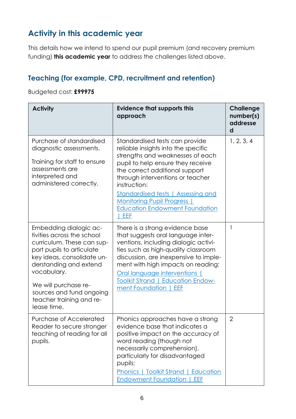# **Activity in this academic year**

This details how we intend to spend our pupil premium (and recovery premium funding) **this academic year** to address the challenges listed above.

#### **Teaching (for example, CPD, recruitment and retention)**

Budgeted cost: **£99975**

| <b>Activity</b>                                                                                                                                                                                                                                                                       | <b>Evidence that supports this</b><br>approach                                                                                                                                                                                                                                                                                                                 | <b>Challenge</b><br>number(s)<br>addresse<br>d |
|---------------------------------------------------------------------------------------------------------------------------------------------------------------------------------------------------------------------------------------------------------------------------------------|----------------------------------------------------------------------------------------------------------------------------------------------------------------------------------------------------------------------------------------------------------------------------------------------------------------------------------------------------------------|------------------------------------------------|
| Purchase of standardised<br>diagnostic assessments.<br>Training for staff to ensure<br>assessments are<br>interpreted and<br>administered correctly.                                                                                                                                  | Standardised tests can provide<br>reliable insights into the specific<br>strengths and weaknesses of each<br>pupil to help ensure they receive<br>the correct additional support<br>through interventions or teacher<br>instruction:<br>Standardised tests   Assessing and<br><b>Monitoring Pupil Progress</b><br><b>Education Endowment Foundation</b><br>EEF | 1, 2, 3, 4                                     |
| Embedding dialogic ac-<br>tivities across the school<br>curriculum. These can sup-<br>port pupils to articulate<br>key ideas, consolidate un-<br>derstanding and extend<br>vocabulary.<br>We will purchase re-<br>sources and fund ongoing<br>teacher training and re-<br>lease time. | There is a strong evidence base<br>that suggests oral language inter-<br>ventions, including dialogic activi-<br>ties such as high-quality classroom<br>discussion, are inexpensive to imple-<br>ment with high impacts on reading:<br>Oral language interventions  <br><b>Toolkit Strand   Education Endow-</b><br>ment Foundation<br>EEF                     | $\mathbf{1}$                                   |
| Purchase of Accelerated<br>Reader to secure stronger<br>teaching of reading for all<br>pupils.                                                                                                                                                                                        | Phonics approaches have a strong<br>evidence base that indicates a<br>positive impact on the accuracy of<br>word reading (though not<br>necessarily comprehension),<br>particularly for disadvantaged<br>pupils:<br><b>Phonics   Toolkit Strand   Education</b><br><b>Endowment Foundation</b><br>EEF                                                          | $\overline{2}$                                 |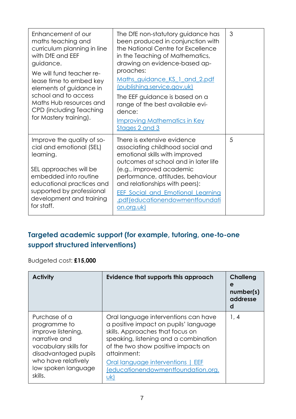| Enhancement of our<br>maths teaching and<br>curriculum planning in line<br>with DfE and EEF<br>guidance.<br>We will fund teacher re-<br>lease time to embed key<br>elements of guidance in<br>school and to access<br>Maths Hub resources and<br>CPD (including Teaching<br>for Mastery training). | The DfE non-statutory guidance has<br>been produced in conjunction with<br>the National Centre for Excellence<br>in the Teaching of Mathematics,<br>drawing on evidence-based ap-<br>proaches:<br>Maths guidance KS 1 and 2.pdf<br>(publishing.service.gov.uk)<br>The EEF guidance is based on a<br>range of the best available evi-<br>dence:<br><b>Improving Mathematics in Key</b> | 3 |
|----------------------------------------------------------------------------------------------------------------------------------------------------------------------------------------------------------------------------------------------------------------------------------------------------|---------------------------------------------------------------------------------------------------------------------------------------------------------------------------------------------------------------------------------------------------------------------------------------------------------------------------------------------------------------------------------------|---|
| Improve the quality of so-<br>cial and emotional (SEL)<br>learning.<br>SEL approaches will be<br>embedded into routine<br>educational practices and<br>supported by professional<br>development and training<br>for staff.                                                                         | Stages 2 and 3<br>There is extensive evidence<br>associating childhood social and<br>emotional skills with improved<br>outcomes at school and in later life<br>(e.g., improved academic<br>performance, attitudes, behaviour<br>and relationships with peers):<br><b>EEF Social and Emotional Learning</b><br>.pdf(educationendowmentfoundati<br>on.org.uk)                           | 5 |

## **Targeted academic support (for example, tutoring, one-to-one support structured interventions)**

Budgeted cost: **£15,000**

| <b>Activity</b>                                                                                                                                                                | Evidence that supports this approach                                                                                                                                                                                                                                                               | Challeng<br>e<br>number(s)<br>addresse<br>d |
|--------------------------------------------------------------------------------------------------------------------------------------------------------------------------------|----------------------------------------------------------------------------------------------------------------------------------------------------------------------------------------------------------------------------------------------------------------------------------------------------|---------------------------------------------|
| Purchase of a<br>programme to<br>improve listening,<br>narrative and<br>vocabulary skills for<br>disadvantaged pupils<br>who have relatively<br>low spoken language<br>skills. | Oral language interventions can have<br>a positive impact on pupils' language<br>skills. Approaches that focus on<br>speaking, listening and a combination<br>of the two show positive impacts on<br>attainment:<br>Oral language interventions   EEF<br>(educationendowmentfoundation.org.<br>uk) | 1, 4                                        |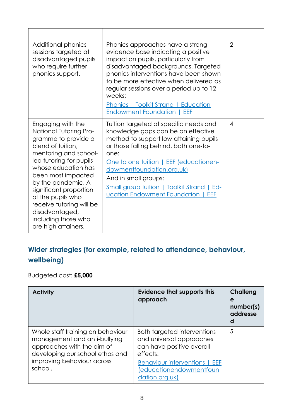| Additional phonics<br>sessions targeted at<br>disadvantaged pupils<br>who require further<br>phonics support.                                                                                                                                                                                                                                                    | Phonics approaches have a strong<br>evidence base indicating a positive<br>impact on pupils, particularly from<br>disadvantaged backgrounds. Targeted<br>phonics interventions have been shown<br>to be more effective when delivered as<br>regular sessions over a period up to 12<br>weeks:<br><b>Phonics   Toolkit Strand   Education</b><br><b>Endowment Foundation</b><br>EEF | $\overline{2}$ |
|------------------------------------------------------------------------------------------------------------------------------------------------------------------------------------------------------------------------------------------------------------------------------------------------------------------------------------------------------------------|------------------------------------------------------------------------------------------------------------------------------------------------------------------------------------------------------------------------------------------------------------------------------------------------------------------------------------------------------------------------------------|----------------|
| Engaging with the<br><b>National Tutoring Pro-</b><br>gramme to provide a<br>blend of tuition,<br>mentoring and school-<br>led tutoring for pupils<br>whose education has<br>been most impacted<br>by the pandemic. A<br>significant proportion<br>of the pupils who<br>receive tutoring will be<br>disadvantaged,<br>including those who<br>are high attainers. | Tuition targeted at specific needs and<br>knowledge gaps can be an effective<br>method to support low attaining pupils<br>or those falling behind, both one-to-<br>one:<br>One to one tuition   EEF (educationen-<br>dowmentfoundation.org.uk)<br>And in small groups:<br><b>Small group tuition   Toolkit Strand   Ed-</b><br>ucation Endowment Foundation<br>EEF                 | $\overline{4}$ |

## **Wider strategies (for example, related to attendance, behaviour, wellbeing)**

Budgeted cost: **£5,000**

| <b>Activity</b>                                                                                                                                                             | <b>Evidence that supports this</b><br>approach                                                   | <b>Challeng</b><br>e<br>number(s)<br>addresse<br>d |
|-----------------------------------------------------------------------------------------------------------------------------------------------------------------------------|--------------------------------------------------------------------------------------------------|----------------------------------------------------|
| Whole staff training on behaviour<br>management and anti-bullying<br>approaches with the aim of<br>developing our school ethos and<br>improving behaviour across<br>school. | Both targeted interventions<br>and universal approaches<br>can have positive overall<br>effects: | 5                                                  |
|                                                                                                                                                                             | <b>Behaviour interventions   EEF</b><br>(educationendowmentfoun<br>dation.org.uk)                |                                                    |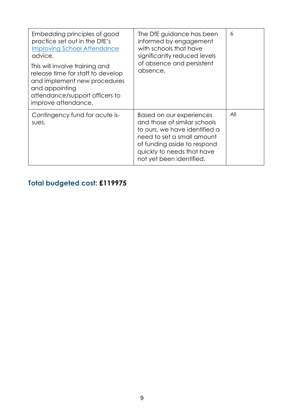| Embedding principles of good<br>practice set out in the DfE's<br><b>Improving School Attendance</b><br>advice.<br>This will involve training and<br>release time for staff to develop<br>and implement new procedures<br>and appointing<br>attendance/support officers to<br>improve attendance. | The DfE guidance has been<br>informed by engagement<br>with schools that have<br>significantly reduced levels<br>of absence and persistent<br>absence.                                                           | 6   |
|--------------------------------------------------------------------------------------------------------------------------------------------------------------------------------------------------------------------------------------------------------------------------------------------------|------------------------------------------------------------------------------------------------------------------------------------------------------------------------------------------------------------------|-----|
| Contingency fund for acute is-<br>sues.                                                                                                                                                                                                                                                          | Based on our experiences<br>and those of similar schools<br>to ours, we have identified a<br>need to set a small amount<br>of funding aside to respond<br>quickly to needs that have<br>not yet been identified. | All |

# **Total budgeted cost: £119975**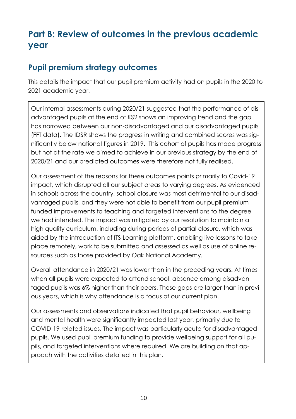# **Part B: Review of outcomes in the previous academic year**

## **Pupil premium strategy outcomes**

This details the impact that our pupil premium activity had on pupils in the 2020 to 2021 academic year.

Our internal assessments during 2020/21 suggested that the performance of disadvantaged pupils at the end of KS2 shows an improving trend and the gap has narrowed between our non-disadvantaged and our disadvantaged pupils (FFT data). The IDSR shows the progress in writing and combined scores was significantly below national figures in 2019. This cohort of pupils has made progress but not at the rate we aimed to achieve in our previous strategy by the end of 2020/21 and our predicted outcomes were therefore not fully realised.

Our assessment of the reasons for these outcomes points primarily to Covid-19 impact, which disrupted all our subject areas to varying degrees. As evidenced in schools across the country, school closure was most detrimental to our disadvantaged pupils, and they were not able to benefit from our pupil premium funded improvements to teaching and targeted interventions to the degree we had intended. The impact was mitigated by our resolution to maintain a high quality curriculum, including during periods of partial closure, which was aided by the introduction of ITS Learning platform, enabling live lessons to take place remotely, work to be submitted and assessed as well as use of online resources such as those provided by Oak National Academy.

Overall attendance in 2020/21 was lower than in the preceding years. At times when all pupils were expected to attend school, absence among disadvantaged pupils was 6% higher than their peers. These gaps are larger than in previous years, which is why attendance is a focus of our current plan.

Our assessments and observations indicated that pupil behaviour, wellbeing and mental health were significantly impacted last year, primarily due to COVID-19-related issues. The impact was particularly acute for disadvantaged pupils. We used pupil premium funding to provide wellbeing support for all pupils, and targeted interventions where required. We are building on that approach with the activities detailed in this plan.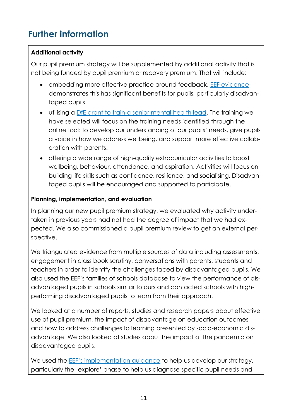# **Further information**

#### **Additional activity**

Our pupil premium strategy will be supplemented by additional activity that is not being funded by pupil premium or recovery premium. That will include:

- embedding more effective practice around feedback. [EEF evidence](https://educationendowmentfoundation.org.uk/education-evidence/teaching-learning-toolkit/feedback) demonstrates this has significant benefits for pupils, particularly disadvantaged pupils.
- utilising a [DfE grant to train a senior mental health lead.](https://www.gov.uk/guidance/senior-mental-health-lead-training) The training we have selected will focus on the training needs identified through the online tool: to develop our understanding of our pupils' needs, give pupils a voice in how we address wellbeing, and support more effective collaboration with parents.
- offering a wide range of high-quality extracurricular activities to boost wellbeing, behaviour, attendance, and aspiration. Activities will focus on building life skills such as confidence, resilience, and socialising. Disadvantaged pupils will be encouraged and supported to participate.

#### **Planning, implementation, and evaluation**

In planning our new pupil premium strategy, we evaluated why activity undertaken in previous years had not had the degree of impact that we had expected. We also commissioned a pupil premium review to get an external perspective.

We triangulated evidence from multiple sources of data including assessments, engagement in class book scrutiny, conversations with parents, students and teachers in order to identify the challenges faced by disadvantaged pupils. We also used the EEF's families of schools database to view the performance of disadvantaged pupils in schools similar to ours and contacted schools with highperforming disadvantaged pupils to learn from their approach.

We looked at a number of reports, studies and research papers about effective use of pupil premium, the impact of disadvantage on education outcomes and how to address challenges to learning presented by socio-economic disadvantage. We also looked at studies about the impact of the pandemic on disadvantaged pupils.

We used the [EEF's implementation guidance](https://educationendowmentfoundation.org.uk/education-evidence/guidance-reports/implementation) to help us develop our strategy, particularly the 'explore' phase to help us diagnose specific pupil needs and